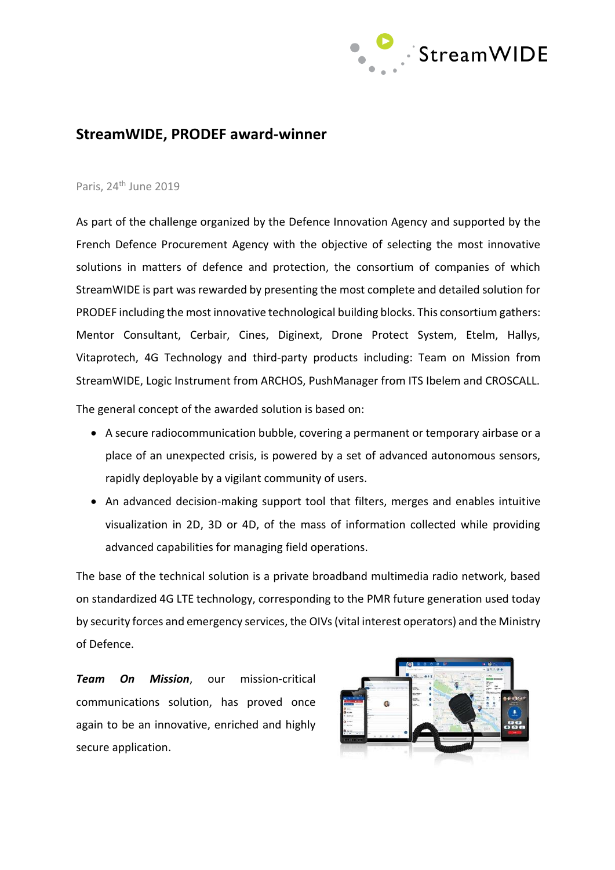

## **StreamWIDE, PRODEF award-winner**

## Paris, 24<sup>th</sup> June 2019

As part of the challenge organized by the Defence Innovation Agency and supported by the French Defence Procurement Agency with the objective of selecting the most innovative solutions in matters of defence and protection, the consortium of companies of which StreamWIDE is part was rewarded by presenting the most complete and detailed solution for PRODEF including the most innovative technological building blocks. This consortium gathers: Mentor Consultant, Cerbair, Cines, Diginext, Drone Protect System, Etelm, Hallys, Vitaprotech, 4G Technology and third-party products including: Team on Mission from StreamWIDE, Logic Instrument from ARCHOS, PushManager from ITS Ibelem and CROSCALL.

The general concept of the awarded solution is based on:

- A secure radiocommunication bubble, covering a permanent or temporary airbase or a place of an unexpected crisis, is powered by a set of advanced autonomous sensors, rapidly deployable by a vigilant community of users.
- An advanced decision-making support tool that filters, merges and enables intuitive visualization in 2D, 3D or 4D, of the mass of information collected while providing advanced capabilities for managing field operations.

The base of the technical solution is a private broadband multimedia radio network, based on standardized 4G LTE technology, corresponding to the PMR future generation used today by security forces and emergency services, the OIVs (vital interest operators) and the Ministry of Defence.

*Team On Mission*, our mission-critical communications solution, has proved once again to be an innovative, enriched and highly secure application.